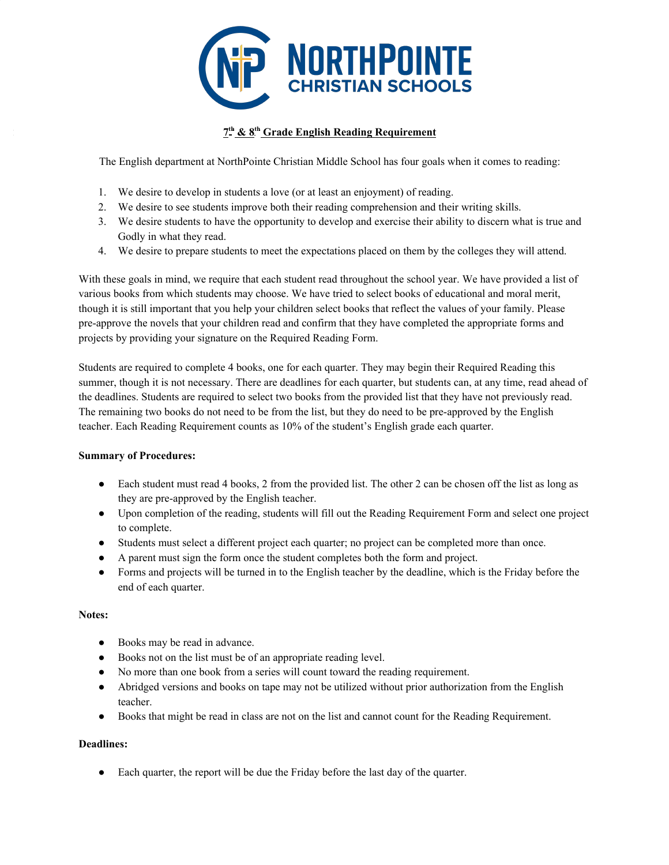

# **7 th & 8th Grade English Reading Requirement**

The English department at NorthPointe Christian Middle School has four goals when it comes to reading:

- 1. We desire to develop in students a love (or at least an enjoyment) of reading.
- 2. We desire to see students improve both their reading comprehension and their writing skills.
- 3. We desire students to have the opportunity to develop and exercise their ability to discern what is true and Godly in what they read.
- 4. We desire to prepare students to meet the expectations placed on them by the colleges they will attend.

With these goals in mind, we require that each student read throughout the school year. We have provided a list of various books from which students may choose. We have tried to select books of educational and moral merit, though it is still important that you help your children select books that reflect the values of your family. Please pre-approve the novels that your children read and confirm that they have completed the appropriate forms and projects by providing your signature on the Required Reading Form.

Students are required to complete 4 books, one for each quarter. They may begin their Required Reading this summer, though it is not necessary. There are deadlines for each quarter, but students can, at any time, read ahead of the deadlines. Students are required to select two books from the provided list that they have not previously read. The remaining two books do not need to be from the list, but they do need to be pre-approved by the English teacher. Each Reading Requirement counts as 10% of the student's English grade each quarter.

# **Summary of Procedures:**

- Each student must read 4 books, 2 from the provided list. The other 2 can be chosen off the list as long as they are pre-approved by the English teacher.
- Upon completion of the reading, students will fill out the Reading Requirement Form and select one project to complete.
- Students must select a different project each quarter; no project can be completed more than once.
- A parent must sign the form once the student completes both the form and project.
- Forms and projects will be turned in to the English teacher by the deadline, which is the Friday before the end of each quarter.

# **Notes:**

- Books may be read in advance.
- Books not on the list must be of an appropriate reading level.
- No more than one book from a series will count toward the reading requirement.
- Abridged versions and books on tape may not be utilized without prior authorization from the English teacher.
- Books that might be read in class are not on the list and cannot count for the Reading Requirement.

# **Deadlines:**

● Each quarter, the report will be due the Friday before the last day of the quarter.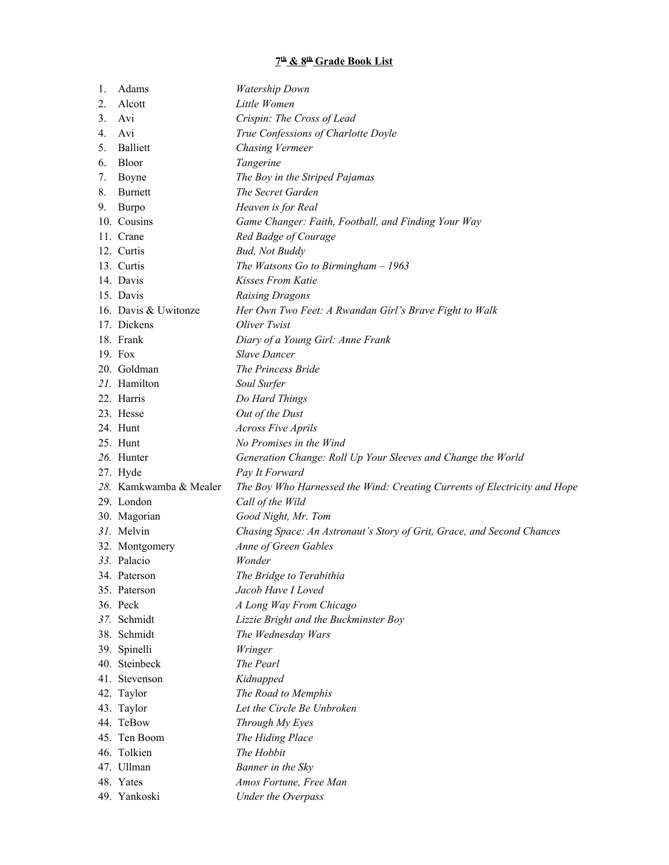#### **7 th & 8th Grade Book List**

| 1. | Adams                  | <b>Watership Down</b>                                                     |
|----|------------------------|---------------------------------------------------------------------------|
| 2. | Alcott                 | Little Women                                                              |
| 3. | Avi                    | Crispin: The Cross of Lead                                                |
| 4. | Avi                    | True Confessions of Charlotte Doyle                                       |
| 5. | Balliett               | <b>Chasing Vermeer</b>                                                    |
| 6. | <b>Bloor</b>           | Tangerine                                                                 |
| 7. | Boyne                  | The Boy in the Striped Pajamas                                            |
| 8. | <b>Burnett</b>         | The Secret Garden                                                         |
| 9. | Burpo                  | Heaven is for Real                                                        |
|    | 10. Cousins            | Game Changer: Faith, Football, and Finding Your Way                       |
|    | 11. Crane              | Red Badge of Courage                                                      |
|    | 12. Curtis             | <b>Bud</b> , Not Buddy                                                    |
|    | 13. Curtis             | The Watsons Go to Birmingham $-1963$                                      |
|    | 14. Davis              | Kisses From Katie                                                         |
|    | 15. Davis              | <b>Raising Dragons</b>                                                    |
|    | 16. Davis & Uwitonze   | Her Own Two Feet: A Rwandan Girl's Brave Fight to Walk                    |
|    | 17. Dickens            | Oliver Twist                                                              |
|    | 18. Frank              | Diary of a Young Girl: Anne Frank                                         |
|    | 19. Fox                | <b>Slave Dancer</b>                                                       |
|    | 20. Goldman            | The Princess Bride                                                        |
|    | 21. Hamilton           | Soul Surfer                                                               |
|    | 22. Harris             | Do Hard Things                                                            |
|    | 23. Hesse              | Out of the Dust                                                           |
|    | 24. Hunt               | <b>Across Five Aprils</b>                                                 |
|    | 25. Hunt               | No Promises in the Wind                                                   |
|    | 26. Hunter             | Generation Change: Roll Up Your Sleeves and Change the World              |
|    | 27. Hyde               | Pay It Forward                                                            |
|    | 28. Kamkwamba & Mealer | The Boy Who Harnessed the Wind: Creating Currents of Electricity and Hope |
|    | 29. London             | Call of the Wild                                                          |
|    | 30. Magorian           | Good Night, Mr. Tom                                                       |
|    | 31. Melvin             | Chasing Space: An Astronaut's Story of Grit, Grace, and Second Chances    |
|    | 32. Montgomery         | Anne of Green Gables                                                      |
|    | 33. Palacio            | Wonder                                                                    |
|    | 34. Paterson           | The Bridge to Terabithia                                                  |
|    | 35. Paterson           | Jacob Have I Loved                                                        |
|    | 36. Peck               | A Long Way From Chicago                                                   |
|    | 37. Schmidt            | Lizzie Bright and the Buckminster Boy                                     |
|    | 38. Schmidt            | The Wednesday Wars                                                        |
|    | 39. Spinelli           | Wringer                                                                   |
|    | 40. Steinbeck          | The Pearl                                                                 |
|    | 41. Stevenson          | Kidnapped                                                                 |
|    | 42. Taylor             | The Road to Memphis                                                       |
|    | 43. Taylor             | Let the Circle Be Unbroken                                                |
|    | 44. TeBow              | Through My Eyes                                                           |
|    | 45. Ten Boom           | The Hiding Place                                                          |
|    | 46. Tolkien            | The Hobbit                                                                |
|    | 47. Ullman             | Banner in the Sky                                                         |
|    | 48. Yates              | Amos Fortune, Free Man                                                    |
|    | 49. Yankoski           | Under the Overpass                                                        |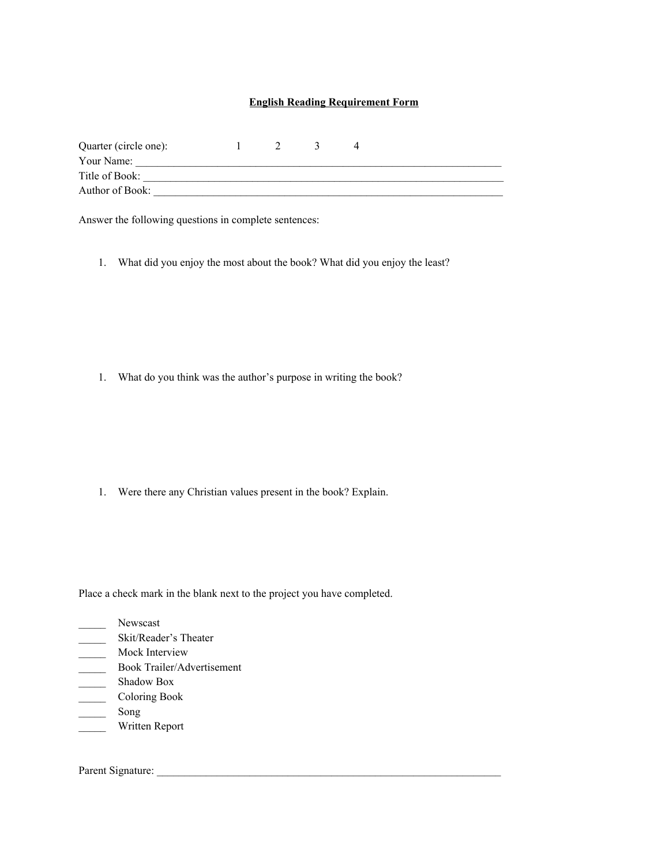# **English Reading Requirement Form**

| Quarter (circle one): |  |  |  |
|-----------------------|--|--|--|
| Your Name:            |  |  |  |
| Title of Book:        |  |  |  |
| Author of Book:       |  |  |  |

Answer the following questions in complete sentences:

1. What did you enjoy the most about the book? What did you enjoy the least?

1. What do you think was the author's purpose in writing the book?

1. Were there any Christian values present in the book? Explain.

Place a check mark in the blank next to the project you have completed.

- \_\_\_\_\_\_\_ Newscast
- \_\_\_\_\_ Skit/Reader's Theater
- \_\_\_\_\_\_\_ Mock Interview
- \_\_\_\_\_ Book Trailer/Advertisement
- \_\_\_\_\_ Shadow Box
- \_\_\_\_\_ Coloring Book
- \_\_\_\_\_ Song
- \_\_\_\_\_ Written Report

Parent Signature: \_\_\_\_\_\_\_\_\_\_\_\_\_\_\_\_\_\_\_\_\_\_\_\_\_\_\_\_\_\_\_\_\_\_\_\_\_\_\_\_\_\_\_\_\_\_\_\_\_\_\_\_\_\_\_\_\_\_\_\_\_\_\_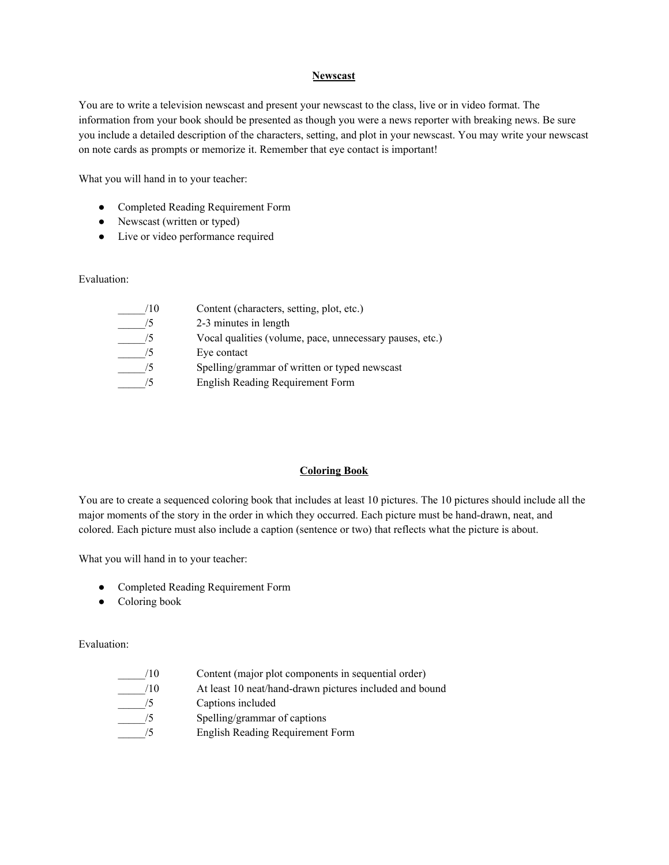#### **Newscast**

You are to write a television newscast and present your newscast to the class, live or in video format. The information from your book should be presented as though you were a news reporter with breaking news. Be sure you include a detailed description of the characters, setting, and plot in your newscast. You may write your newscast on note cards as prompts or memorize it. Remember that eye contact is important!

What you will hand in to your teacher:

- Completed Reading Requirement Form
- Newscast (written or typed)
- Live or video performance required

Evaluation:

| /10                   | Content (characters, setting, plot, etc.)                |
|-----------------------|----------------------------------------------------------|
| $\tilde{\phantom{a}}$ | 2-3 minutes in length                                    |
| 5                     | Vocal qualities (volume, pace, unnecessary pauses, etc.) |
| ^                     | Eye contact                                              |
| `                     | Spelling/grammar of written or typed newscast            |
|                       | English Reading Requirement Form                         |

### **Coloring Book**

You are to create a sequenced coloring book that includes at least 10 pictures. The 10 pictures should include all the major moments of the story in the order in which they occurred. Each picture must be hand-drawn, neat, and colored. Each picture must also include a caption (sentence or two) that reflects what the picture is about.

What you will hand in to your teacher:

- Completed Reading Requirement Form
- Coloring book

Evaluation:

- \_\_\_\_\_/10 Content (major plot components in sequential order)
- \_\_\_\_\_/10 At least 10 neat/hand-drawn pictures included and bound
- \_\_\_\_\_/5 Captions included
- \_\_\_\_\_/5 Spelling/grammar of captions
- \_\_\_\_\_/5 English Reading Requirement Form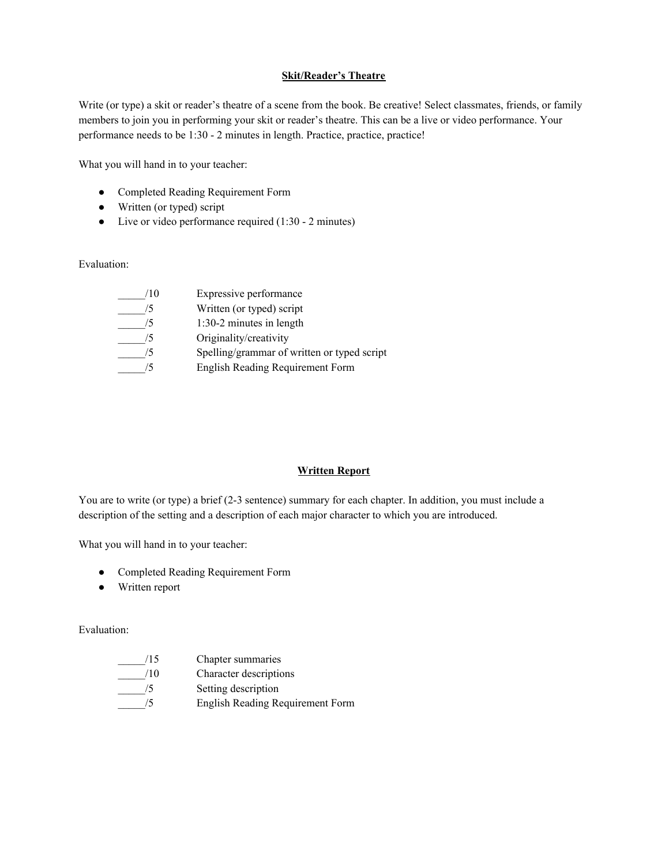### **Skit/Reader's Theatre**

Write (or type) a skit or reader's theatre of a scene from the book. Be creative! Select classmates, friends, or family members to join you in performing your skit or reader's theatre. This can be a live or video performance. Your performance needs to be 1:30 - 2 minutes in length. Practice, practice, practice!

What you will hand in to your teacher:

- Completed Reading Requirement Form
- Written (or typed) script
- Live or video performance required (1:30 2 minutes)

# Evaluation:

\_\_\_\_\_\_/10 Expressive performance \_\_\_\_\_/5 Written (or typed) script  $\frac{1:30-2 \text{ minutes in length}}{5}$ <br>  $\frac{1:30-2 \text{ minutes in length}}{5}$ <br>  $\frac{1:30-2 \text{ minutes in length}}{5}$ <br>  $\frac{1:30-2 \text{ minutes in length}}{5}$ Originality/creativity Spelling/grammar of written or typed script \_\_\_\_\_/5 English Reading Requirement Form

### **Written Report**

You are to write (or type) a brief (2-3 sentence) summary for each chapter. In addition, you must include a description of the setting and a description of each major character to which you are introduced.

What you will hand in to your teacher:

- Completed Reading Requirement Form
- Written report

Evaluation:

\_\_\_\_\_/15 Chapter summaries 10 Character descriptions \_\_\_\_\_/5 Setting description \_\_\_\_\_/5 English Reading Requirement Form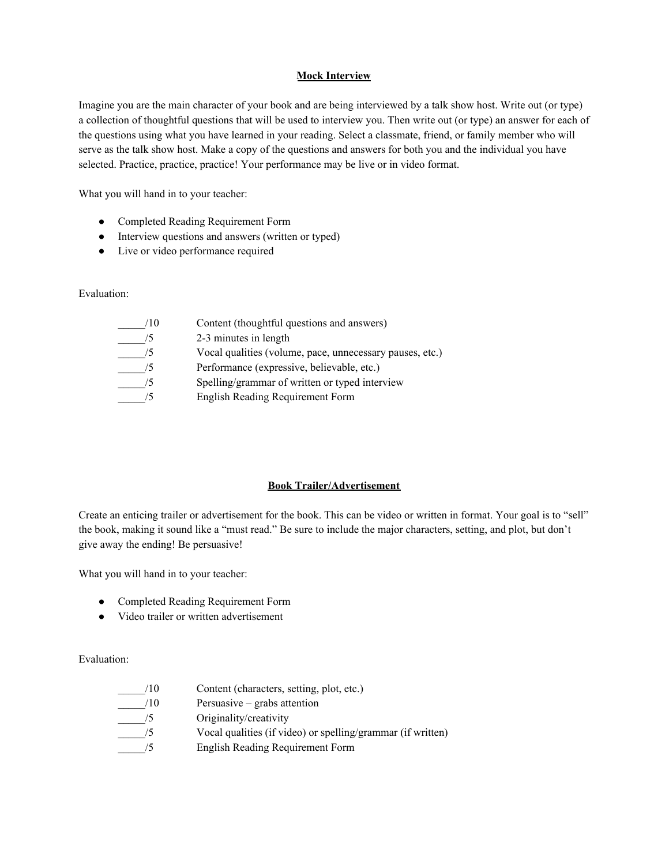### **Mock Interview**

Imagine you are the main character of your book and are being interviewed by a talk show host. Write out (or type) a collection of thoughtful questions that will be used to interview you. Then write out (or type) an answer for each of the questions using what you have learned in your reading. Select a classmate, friend, or family member who will serve as the talk show host. Make a copy of the questions and answers for both you and the individual you have selected. Practice, practice, practice! Your performance may be live or in video format.

What you will hand in to your teacher:

- Completed Reading Requirement Form
- Interview questions and answers (written or typed)
- Live or video performance required

Evaluation:

| /10 | Content (thoughtful questions and answers)               |
|-----|----------------------------------------------------------|
|     | 2-3 minutes in length                                    |
|     | Vocal qualities (volume, pace, unnecessary pauses, etc.) |
|     | Performance (expressive, believable, etc.)               |
|     | Spelling/grammar of written or typed interview           |
|     | English Reading Requirement Form                         |
|     |                                                          |

#### **Book Trailer/Advertisement**

Create an enticing trailer or advertisement for the book. This can be video or written in format. Your goal is to "sell" the book, making it sound like a "must read." Be sure to include the major characters, setting, and plot, but don't give away the ending! Be persuasive!

What you will hand in to your teacher:

- Completed Reading Requirement Form
- Video trailer or written advertisement

Evaluation:

- \_\_\_\_\_/10 Content (characters, setting, plot, etc.) \_\_\_\_\_/10 Persuasive – grabs attention \_\_\_\_\_/5 Originality/creativity \_\_\_\_\_/5 Vocal qualities (if video) or spelling/grammar (if written)
- \_\_\_\_\_/5 English Reading Requirement Form